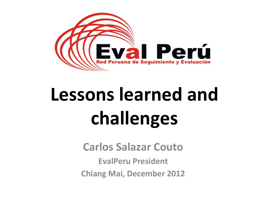

# **Lessons learned and** challenges

**Carlos Salazar Couto** 

**EvalPeru President Chiang Mai, December 2012**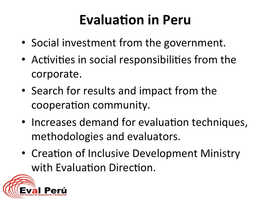### **Evaluation in Peru**

- Social investment from the government.
- Activities in social responsibilities from the corporate.
- Search for results and impact from the cooperation community.
- Increases demand for evaluation techniques, methodologies and evaluators.
- Creation of Inclusive Development Ministry with Evaluation Direction.

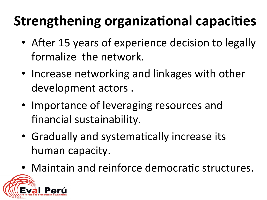## **Strengthening organizational capacities**

- After 15 years of experience decision to legally formalize the network.
- Increase networking and linkages with other development actors.
- Importance of leveraging resources and financial sustainability.
- Gradually and systematically increase its human capacity.
- Maintain and reinforce democratic structures.

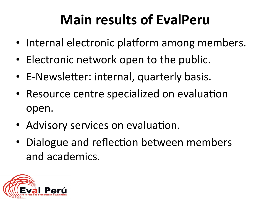## **Main results of EvalPeru**

- Internal electronic platform among members.
- Electronic network open to the public.
- E-Newsletter: internal, quarterly basis.
- Resource centre specialized on evaluation open.
- Advisory services on evaluation.
- Dialogue and reflection between members and'academics.

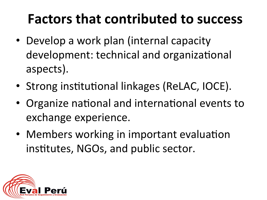### **Factors that contributed to success**

- Develop a work plan (internal capacity development: technical and organizational aspects).
- Strong institutional linkages (ReLAC, IOCE).
- Organize national and international events to exchange experience.
- Members working in important evaluation institutes, NGOs, and public sector.

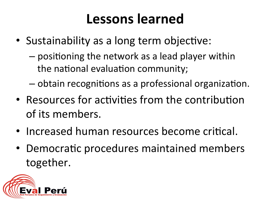### **Lessons learned**

- Sustainability as a long term objective:
	- positioning the network as a lead player within the national evaluation community;
	- obtain recognitions as a professional organization.
- Resources for activities from the contribution of its members.
- Increased human resources become critical.
- Democratic procedures maintained members together.